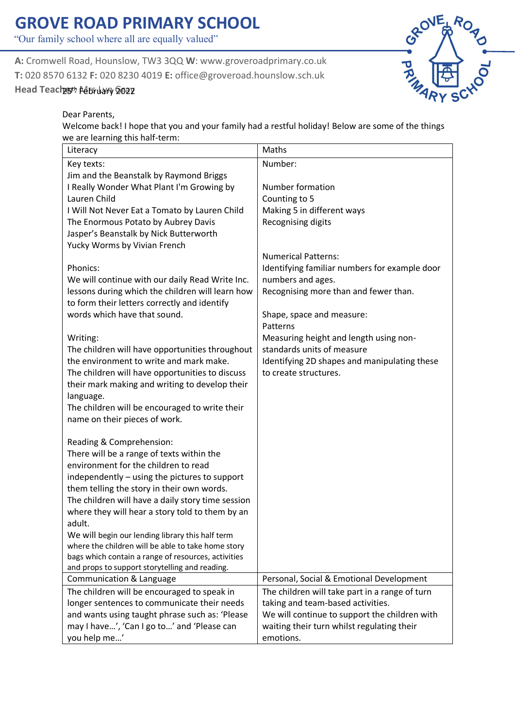## **GROVE ROAD PRIMARY SCHOOL**

"Our family school where all are equally valued"

**A:** Cromwell Road, Hounslow, TW3 3QQ **W**: www.groveroadprimary.co.uk **T:** 020 8570 6132 **F:** 020 8230 4019 **E:** office@groveroad.hounslow.sch.uk

## Head Teachgth Adbruary 2022



Dear Parents,

Welcome back! I hope that you and your family had a restful holiday! Below are some of the things we are learning this half-term:

| Literacy                                                                                              | Maths                                                                               |
|-------------------------------------------------------------------------------------------------------|-------------------------------------------------------------------------------------|
| Key texts:                                                                                            | Number:                                                                             |
| Jim and the Beanstalk by Raymond Briggs                                                               |                                                                                     |
| I Really Wonder What Plant I'm Growing by                                                             | Number formation                                                                    |
| Lauren Child                                                                                          | Counting to 5                                                                       |
| I Will Not Never Eat a Tomato by Lauren Child                                                         | Making 5 in different ways                                                          |
| The Enormous Potato by Aubrey Davis                                                                   | Recognising digits                                                                  |
| Jasper's Beanstalk by Nick Butterworth                                                                |                                                                                     |
| Yucky Worms by Vivian French                                                                          |                                                                                     |
|                                                                                                       | <b>Numerical Patterns:</b>                                                          |
| Phonics:                                                                                              | Identifying familiar numbers for example door                                       |
| We will continue with our daily Read Write Inc.                                                       | numbers and ages.                                                                   |
| lessons during which the children will learn how                                                      | Recognising more than and fewer than.                                               |
| to form their letters correctly and identify                                                          |                                                                                     |
| words which have that sound.                                                                          | Shape, space and measure:                                                           |
|                                                                                                       | Patterns                                                                            |
| Writing:                                                                                              | Measuring height and length using non-                                              |
| The children will have opportunities throughout                                                       | standards units of measure                                                          |
| the environment to write and mark make.                                                               | Identifying 2D shapes and manipulating these                                        |
| The children will have opportunities to discuss                                                       | to create structures.                                                               |
| their mark making and writing to develop their                                                        |                                                                                     |
| language.                                                                                             |                                                                                     |
| The children will be encouraged to write their                                                        |                                                                                     |
| name on their pieces of work.                                                                         |                                                                                     |
|                                                                                                       |                                                                                     |
| Reading & Comprehension:                                                                              |                                                                                     |
| There will be a range of texts within the                                                             |                                                                                     |
| environment for the children to read                                                                  |                                                                                     |
| independently - using the pictures to support                                                         |                                                                                     |
| them telling the story in their own words.                                                            |                                                                                     |
| The children will have a daily story time session                                                     |                                                                                     |
| where they will hear a story told to them by an                                                       |                                                                                     |
| adult.                                                                                                |                                                                                     |
| We will begin our lending library this half term                                                      |                                                                                     |
| where the children will be able to take home story                                                    |                                                                                     |
| bags which contain a range of resources, activities<br>and props to support storytelling and reading. |                                                                                     |
| Communication & Language                                                                              | Personal, Social & Emotional Development                                            |
|                                                                                                       |                                                                                     |
| The children will be encouraged to speak in<br>longer sentences to communicate their needs            | The children will take part in a range of turn<br>taking and team-based activities. |
| and wants using taught phrase such as: 'Please                                                        | We will continue to support the children with                                       |
| may I have', 'Can I go to' and 'Please can                                                            | waiting their turn whilst regulating their                                          |
|                                                                                                       | emotions.                                                                           |
| you help me'                                                                                          |                                                                                     |